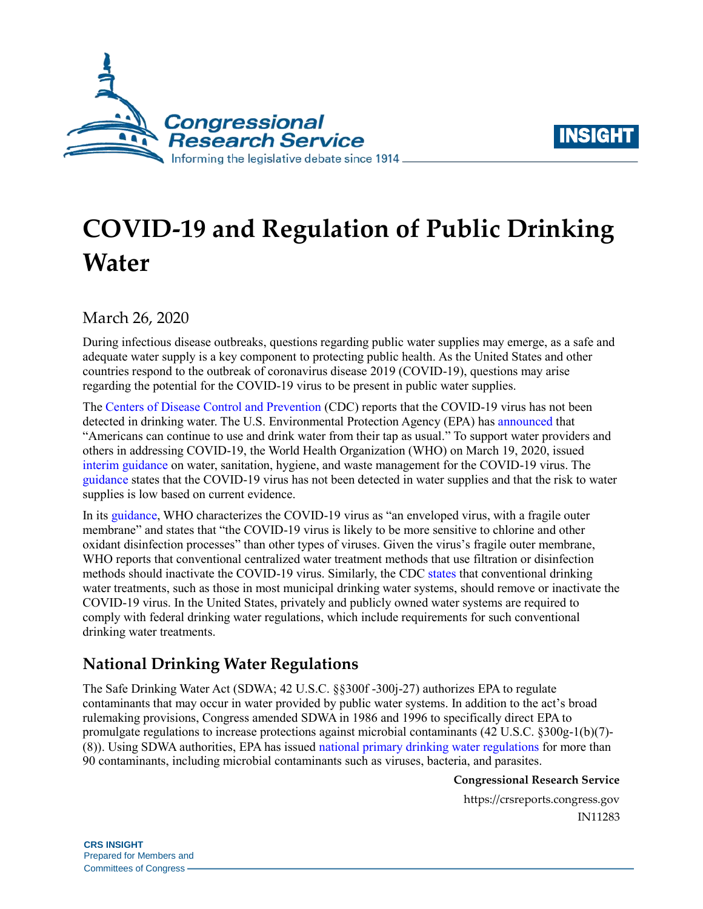



# **COVID-19 and Regulation of Public Drinking Water**

March 26, 2020

During infectious disease outbreaks, questions regarding public water supplies may emerge, as a safe and adequate water supply is a key component to protecting public health. As the United States and other countries respond to the outbreak of coronavirus disease 2019 (COVID-19), questions may arise regarding the potential for the COVID-19 virus to be present in public water supplies.

The [Centers of Disease Control and Prevention](https://www.cdc.gov/coronavirus/2019-ncov/php/water.html) (CDC) reports that the COVID-19 virus has not been detected in drinking water. The U.S. Environmental Protection Agency (EPA) ha[s announced](https://www.epa.gov/coronavirus/coronavirus-and-drinking-water-and-wastewater#tapwater) that "Americans can continue to use and drink water from their tap as usual." To support water providers and others in addressing COVID-19, the World Health Organization (WHO) on March 19, 2020, issued [interim guidance](https://apps.who.int/iris/rest/bitstreams/1272446/retrieve) on water, sanitation, hygiene, and waste management for the COVID-19 virus. The [guidance](https://apps.who.int/iris/rest/bitstreams/1272446/retrieve) states that the COVID-19 virus has not been detected in water supplies and that the risk to water supplies is low based on current evidence.

In its [guidance,](https://apps.who.int/iris/rest/bitstreams/1272446/retrieve) WHO characterizes the COVID-19 virus as "an enveloped virus, with a fragile outer membrane" and states that "the COVID-19 virus is likely to be more sensitive to chlorine and other oxidant disinfection processes" than other types of viruses. Given the virus's fragile outer membrane, WHO reports that conventional centralized water treatment methods that use filtration or disinfection methods should inactivate the COVID-19 virus. Similarly, the CDC [states](https://www.cdc.gov/coronavirus/2019-ncov/php/water.html) that conventional drinking water treatments, such as those in most municipal drinking water systems, should remove or inactivate the COVID-19 virus. In the United States, privately and publicly owned water systems are required to comply with federal drinking water regulations, which include requirements for such conventional drinking water treatments.

## **National Drinking Water Regulations**

The Safe Drinking Water Act (SDWA; 42 U.S.C. §§300f -300j-27) authorizes EPA to regulate contaminants that may occur in water provided by public water systems. In addition to the act's broad rulemaking provisions, Congress amended SDWA in 1986 and 1996 to specifically direct EPA to promulgate regulations to increase protections against microbial contaminants (42 U.S.C. §300g-1(b)(7)- (8)). Using SDWA authorities, EPA has issued [national primary drinking water regulations](https://www.epa.gov/ground-water-and-drinking-water/national-primary-drinking-water-regulations) for more than 90 contaminants, including microbial contaminants such as viruses, bacteria, and parasites.

**Congressional Research Service**

https://crsreports.congress.gov IN11283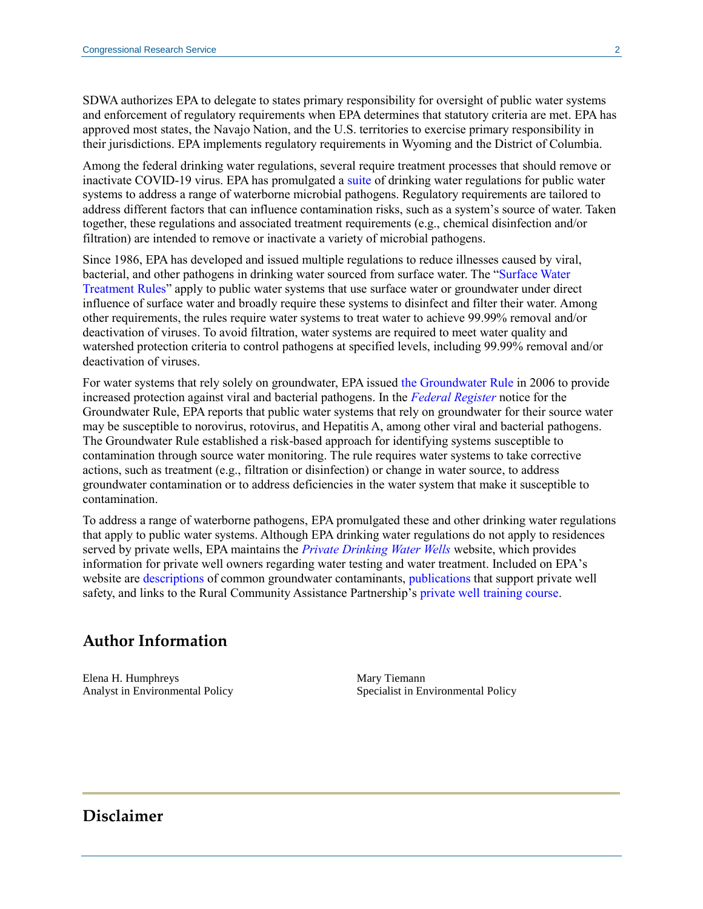SDWA authorizes EPA to delegate to states primary responsibility for oversight of public water systems and enforcement of regulatory requirements when EPA determines that statutory criteria are met. EPA has approved most states, the Navajo Nation, and the U.S. territories to exercise primary responsibility in their jurisdictions. EPA implements regulatory requirements in Wyoming and the District of Columbia.

Among the federal drinking water regulations, several require treatment processes that should remove or inactivate COVID-19 virus. EPA has promulgated a [suite](https://www.epa.gov/dwreginfo/drinking-water-regulations) of drinking water regulations for public water systems to address a range of waterborne microbial pathogens. Regulatory requirements are tailored to address different factors that can influence contamination risks, such as a system's source of water. Taken together, these regulations and associated treatment requirements (e.g., chemical disinfection and/or filtration) are intended to remove or inactivate a variety of microbial pathogens.

Since 1986, EPA has developed and issued multiple regulations to reduce illnesses caused by viral, bacterial, and other pathogens in drinking water sourced from surface water. The ["Surface Water](https://www.epa.gov/dwreginfo/surface-water-treatment-rules)  [Treatment Rules"](https://www.epa.gov/dwreginfo/surface-water-treatment-rules) apply to public water systems that use surface water or groundwater under direct influence of surface water and broadly require these systems to disinfect and filter their water. Among other requirements, the rules require water systems to treat water to achieve 99.99% removal and/or deactivation of viruses. To avoid filtration, water systems are required to meet water quality and watershed protection criteria to control pathogens at specified levels, including 99.99% removal and/or deactivation of viruses.

For water systems that rely solely on groundwater, EPA issued [the Groundwater Rule](https://www.epa.gov/dwreginfo/ground-water-rule) in 2006 to provide increased protection against viral and bacterial pathogens. In the *[Federal Register](https://www.govinfo.gov/content/pkg/FR-2006-11-08/html/06-8763.htm)* notice for the Groundwater Rule, EPA reports that public water systems that rely on groundwater for their source water may be susceptible to norovirus, rotovirus, and Hepatitis A, among other viral and bacterial pathogens. The Groundwater Rule established a risk-based approach for identifying systems susceptible to contamination through source water monitoring. The rule requires water systems to take corrective actions, such as treatment (e.g., filtration or disinfection) or change in water source, to address groundwater contamination or to address deficiencies in the water system that make it susceptible to contamination.

To address a range of waterborne pathogens, EPA promulgated these and other drinking water regulations that apply to public water systems. Although EPA drinking water regulations do not apply to residences served by private wells, EPA maintains the *[Private Drinking Water Wells](https://www.epa.gov/privatewells)* website, which provides information for private well owners regarding water testing and water treatment. Included on EPA's website are [descriptions](https://www.epa.gov/node/83209/view) of common groundwater contaminants, [publications](https://www.epa.gov/privatewells/publications-support-private-water-well-safety) that support private well safety, and links to the Rural Community Assistance Partnership's [private well training course.](http://privatewellclass.org/)

### **Author Information**

Elena H. Humphreys Analyst in Environmental Policy Mary Tiemann Specialist in Environmental Policy

### **Disclaimer**